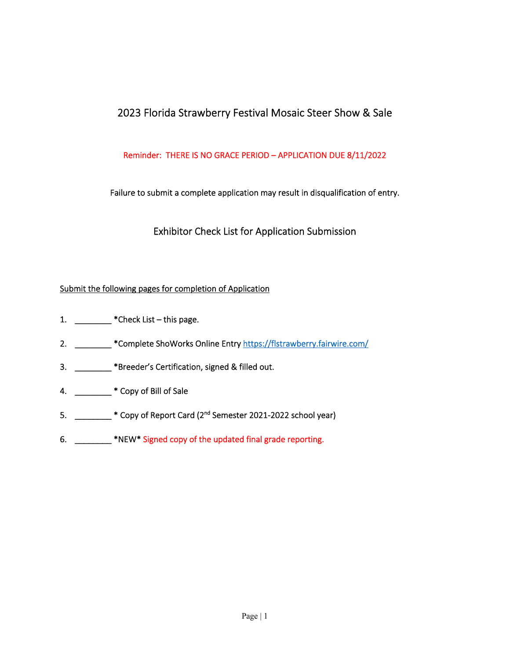# 2023 Florida Strawberry Festival Mosaic Steer Show & Sale

# Reminder: THERE IS NO GRACE PERIOD – APPLICATION DUE 8/11/2022

Failure to submit a complete application may result in disqualification of entry.

Exhibitor Check List for Application Submission

# Submit the following pages for completion of Application

- 1. \_\_\_\_\_\_\_\_\_\_\_ \*Check List this page.
- 2. \_\_\_\_\_\_\_\_\_ \*Complete ShoWorks Online Entry https://flstrawberry.fairwire.com/
- 3. \_\_\_\_\_\_\_\_ \*Breeder's Certification, signed & filled out.
- 4. \_\_\_\_\_\_\_\_ \* Copy of Bill of Sale
- 5. \_\_\_\_\_\_\_\_ \* Copy of Report Card (2<sup>nd</sup> Semester 2021-2022 school year)
- 6. \_\_\_\_\_\_\_\_ \*NEW\* Signed copy of the updated final grade reporting.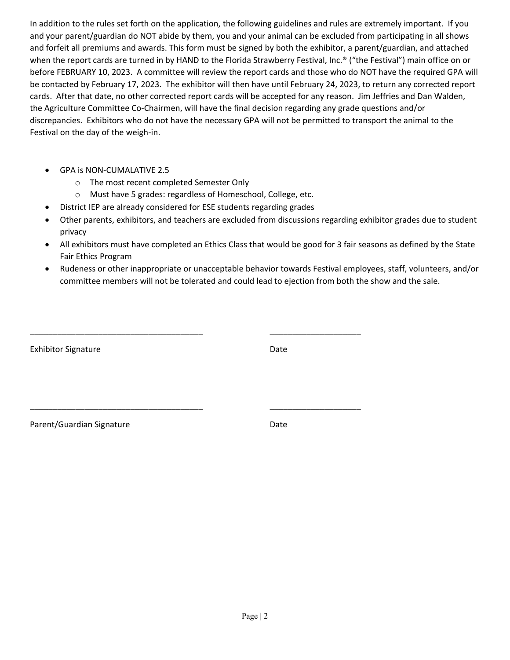In addition to the rules set forth on the application, the following guidelines and rules are extremely important. If you and your parent/guardian do NOT abide by them, you and your animal can be excluded from participating in all shows and forfeit all premiums and awards. This form must be signed by both the exhibitor, a parent/guardian, and attached when the report cards are turned in by HAND to the Florida Strawberry Festival, Inc.® ("the Festival") main office on or before FEBRUARY 10, 2023. A committee will review the report cards and those who do NOT have the required GPA will be contacted by February 17, 2023. The exhibitor will then have until February 24, 2023, to return any corrected report cards. After that date, no other corrected report cards will be accepted for any reason. Jim Jeffries and Dan Walden, the Agriculture Committee Co‐Chairmen, will have the final decision regarding any grade questions and/or discrepancies. Exhibitors who do not have the necessary GPA will not be permitted to transport the animal to the Festival on the day of the weigh‐in.

- GPA is NON‐CUMALATIVE 2.5
	- o The most recent completed Semester Only
	- o Must have 5 grades: regardless of Homeschool, College, etc.

\_\_\_\_\_\_\_\_\_\_\_\_\_\_\_\_\_\_\_\_\_\_\_\_\_\_\_\_\_\_\_\_\_\_\_\_\_\_ \_\_\_\_\_\_\_\_\_\_\_\_\_\_\_\_\_\_\_\_

\_\_\_\_\_\_\_\_\_\_\_\_\_\_\_\_\_\_\_\_\_\_\_\_\_\_\_\_\_\_\_\_\_\_\_\_\_\_ \_\_\_\_\_\_\_\_\_\_\_\_\_\_\_\_\_\_\_\_

- District IEP are already considered for ESE students regarding grades
- Other parents, exhibitors, and teachers are excluded from discussions regarding exhibitor grades due to student privacy
- All exhibitors must have completed an Ethics Class that would be good for 3 fair seasons as defined by the State Fair Ethics Program
- Rudeness or other inappropriate or unacceptable behavior towards Festival employees, staff, volunteers, and/or committee members will not be tolerated and could lead to ejection from both the show and the sale.

| <b>Exhibitor Signature</b> | Date |
|----------------------------|------|
|                            |      |

Parent/Guardian Signature **Date** Date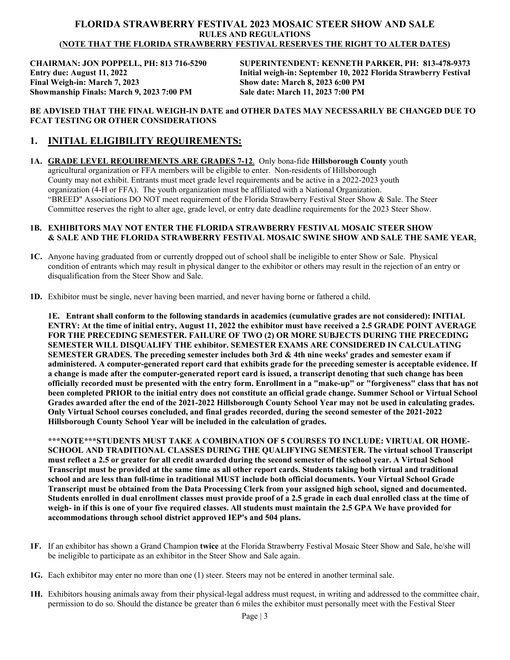#### **FLORIDA STRAWBERRY FESTIVAL 2023 MOSAIC STEER SHOW AND SALE RULES AND REGULATIONS (NOTE THAT THE FLORIDA STRAWBERRY FESTIVAL RESERVES THE RIGHT TO ALTER DATES)**

**Final Weigh-in: March 7, 2023 Show date: March 8, 2023 6:00 PM Showmanship Finals: March 9, 2023 7:00 PM Sale date: March 11, 2023 7:00 PM** 

**CHAIRMAN: JON POPPELL, PH: 813 716-5290 SUPERINTENDENT: KENNETH PARKER, PH: 813-478-9373 Entry due: August 11, 2022 Initial weigh-in: September 10, 2022 Florida Strawberry Festival** 

#### **BE ADVISED THAT THE FINAL WEIGH-IN DATE and OTHER DATES MAY NECESSARILY BE CHANGED DUE TO FCAT TESTING OR OTHER CONSIDERATIONS**

# **1. INITIAL ELIGIBILITY REQUIREMENTS:**

**1A. GRADE LEVEL REQUIREMENTS ARE GRADES 7-12**. Only bona-fide **Hillsborough County** youth agricultural organization or FFA members will be eligible to enter. Non-residents of Hillsborough County may not exhibit. Entrants must meet grade level requirements and be active in a 2022-2023 youth organization (4-H or FFA). The youth organization must be affiliated with a National Organization. "BREED" Associations DO NOT meet requirement of the Florida Strawberry Festival Steer Show & Sale. The Steer Committee reserves the right to alter age, grade level, or entry date deadline requirements for the 2023 Steer Show.

#### **1B. EXHIBITORS MAY NOT ENTER THE FLORIDA STRAWBERRY FESTIVAL MOSAIC STEER SHOW & SALE AND THE FLORIDA STRAWBERRY FESTIVAL MOSAIC SWINE SHOW AND SALE THE SAME YEAR.**

- **1C.** Anyone having graduated from or currently dropped out of school shall be ineligible to enter Show or Sale. Physical condition of entrants which may result in physical danger to the exhibitor or others may result in the rejection of an entry or disqualification from the Steer Show and Sale.
- **1D.** Exhibitor must be single, never having been married, and never having borne or fathered a child.

**1E. Entrant shall conform to the following standards in academics (cumulative grades are not considered): INITIAL ENTRY: At the time of initial entry, August 11, 2022 the exhibitor must have received a 2.5 GRADE POINT AVERAGE FOR THE PRECEDING SEMESTER. FAILURE OF TWO (2) OR MORE SUBJECTS DURING THE PRECEDING SEMESTER WILL DISQUALIFY THE exhibitor. SEMESTER EXAMS ARE CONSIDERED IN CALCULATING SEMESTER GRADES. The preceding semester includes both 3rd & 4th nine weeks' grades and semester exam if administered. A computer-generated report card that exhibits grade for the preceding semester is acceptable evidence. If a change is made after the computer-generated report card is issued, a transcript denoting that such change has been officially recorded must be presented with the entry form. Enrollment in a "make-up" or "forgiveness" class that has not been completed PRIOR to the initial entry does not constitute an official grade change. Summer School or Virtual School Grades awarded after the end of the 2021-2022 Hillsborough County School Year may not be used in calculating grades. Only Virtual School courses concluded, and final grades recorded, during the second semester of the 2021-2022 Hillsborough County School Year will be included in the calculation of grades.** 

**\*\*\*NOTE\*\*\*STUDENTS MUST TAKE A COMBINATION OF 5 COURSES TO INCLUDE: VIRTUAL OR HOME-SCHOOL AND TRADITIONAL CLASSES DURING THE QUALIFYING SEMESTER. The virtual school Transcript must reflect a 2.5 or greater for all credit awarded during the second semester of the school year. A Virtual School Transcript must be provided at the same time as all other report cards. Students taking both virtual and traditional school and are less than full-time in traditional MUST include both official documents. Your Virtual School Grade Transcript must be obtained from the Data Processing Clerk from your assigned high school, signed and documented. Students enrolled in dual enrollment classes must provide proof of a 2.5 grade in each dual enrolled class at the time of weigh- in if this is one of your five required classes. All students must maintain the 2.5 GPA We have provided for accommodations through school district approved IEP's and 504 plans.** 

- **1F.** If an exhibitor has shown a Grand Champion **twice** at the Florida Strawberry Festival Mosaic Steer Show and Sale, he/she will be ineligible to participate as an exhibitor in the Steer Show and Sale again.
- **1G.** Each exhibitor may enter no more than one (1) steer. Steers may not be entered in another terminal sale.
- **1H.** Exhibitors housing animals away from their physical-legal address must request, in writing and addressed to the committee chair, permission to do so. Should the distance be greater than 6 miles the exhibitor must personally meet with the Festival Steer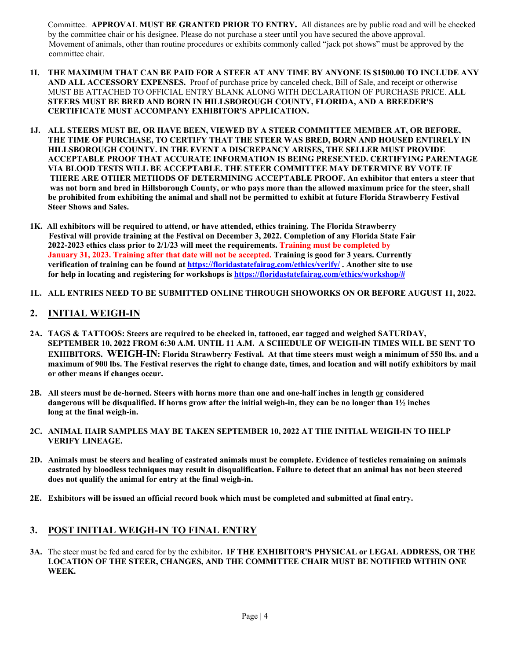Committee. **APPROVAL MUST BE GRANTED PRIOR TO ENTRY.** All distances are by public road and will be checked by the committee chair or his designee. Please do not purchase a steer until you have secured the above approval. Movement of animals, other than routine procedures or exhibits commonly called "jack pot shows" must be approved by the committee chair.

- **1I. THE MAXIMUM THAT CAN BE PAID FOR A STEER AT ANY TIME BY ANYONE IS \$1500.00 TO INCLUDE ANY AND ALL ACCESSORY EXPENSES.** Proof of purchase price by canceled check, Bill of Sale, and receipt or otherwise MUST BE ATTACHED TO OFFICIAL ENTRY BLANK ALONG WITH DECLARATION OF PURCHASE PRICE. **ALL STEERS MUST BE BRED AND BORN IN HILLSBOROUGH COUNTY, FLORIDA, AND A BREEDER'S CERTIFICATE MUST ACCOMPANY EXHIBITOR'S APPLICATION.**
- **1J. ALL STEERS MUST BE, OR HAVE BEEN, VIEWED BY A STEER COMMITTEE MEMBER AT, OR BEFORE, THE TIME OF PURCHASE, TO CERTIFY THAT THE STEER WAS BRED, BORN AND HOUSED ENTIRELY IN HILLSBOROUGH COUNTY. IN THE EVENT A DISCREPANCY ARISES, THE SELLER MUST PROVIDE ACCEPTABLE PROOF THAT ACCURATE INFORMATION IS BEING PRESENTED. CERTIFYING PARENTAGE VIA BLOOD TESTS WILL BE ACCEPTABLE. THE STEER COMMITTEE MAY DETERMINE BY VOTE IF THERE ARE OTHER METHODS OF DETERMINING ACCEPTABLE PROOF. An exhibitor that enters a steer that was not born and bred in Hillsborough County, or who pays more than the allowed maximum price for the steer, shall be prohibited from exhibiting the animal and shall not be permitted to exhibit at future Florida Strawberry Festival Steer Shows and Sales.**
- **1K. All exhibitors will be required to attend, or have attended, ethics training. The Florida Strawberry Festival will provide training at the Festival on December 3, 2022. Completion of any Florida State Fair 2022-2023 ethics class prior to 2/1/23 will meet the requirements. Training must be completed by January 31, 2023. Training after that date will not be accepted. Training is good for 3 years. Currently verification of training can be found at https://floridastatefairag.com/ethics/verify/ . Another site to use for help in locating and registering for workshops is https://floridastatefairag.com/ethics/workshop/#**
- **1L. ALL ENTRIES NEED TO BE SUBMITTED ONLINE THROUGH SHOWORKS ON OR BEFORE AUGUST 11, 2022.**

# **2. INITIAL WEIGH-IN**

- **2A. TAGS & TATTOOS: Steers are required to be checked in, tattooed, ear tagged and weighed SATURDAY, SEPTEMBER 10, 2022 FROM 6:30 A.M. UNTIL 11 A.M. A SCHEDULE OF WEIGH-IN TIMES WILL BE SENT TO EXHIBITORS. WEIGH-IN: Florida Strawberry Festival. At that time steers must weigh a minimum of 550 lbs. and a maximum of 900 lbs. The Festival reserves the right to change date, times, and location and will notify exhibitors by mail or other means if changes occur.**
- 2B. All steers must be de-horned. Steers with horns more than one and one-half inches in length or considered  **dangerous will be disqualified. If horns grow after the initial weigh-in, they can be no longer than 1½ inches long at the final weigh-in.**
- **2C. ANIMAL HAIR SAMPLES MAY BE TAKEN SEPTEMBER 10, 2022 AT THE INITIAL WEIGH-IN TO HELP VERIFY LINEAGE.**
- **2D. Animals must be steers and healing of castrated animals must be complete. Evidence of testicles remaining on animals castrated by bloodless techniques may result in disqualification. Failure to detect that an animal has not been steered does not qualify the animal for entry at the final weigh-in.**
- **2E. Exhibitors will be issued an official record book which must be completed and submitted at final entry.**

# **3. POST INITIAL WEIGH-IN TO FINAL ENTRY**

**3A.** The steer must be fed and cared for by the exhibitor**. IF THE EXHIBITOR'S PHYSICAL or LEGAL ADDRESS, OR THE LOCATION OF THE STEER, CHANGES, AND THE COMMITTEE CHAIR MUST BE NOTIFIED WITHIN ONE WEEK.**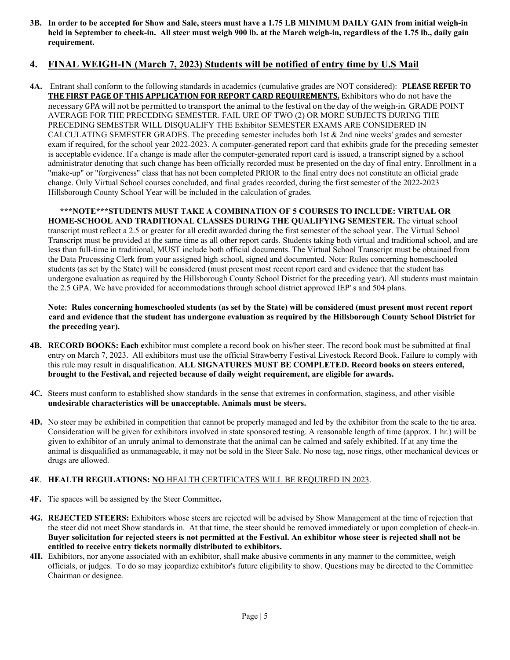**3B. In order to be accepted for Show and Sale, steers must have a 1.75 LB MINIMUM DAILY GAIN from initial weigh-in held in September to check-in. All steer must weigh 900 lb. at the March weigh-in, regardless of the 1.75 lb., daily gain requirement.** 

# **4. FINAL WEIGH-IN (March 7, 2023) Students will be notified of entry time by U.S Mail**

**4A.** Entrant shall conform to the following standards in academics (cumulative grades are NOT considered): **PLEASE REFER TO THE FIRST PAGE OF THIS APPLICATION FOR REPORT CARD REQUIREMENTS.** Exhibitors who do not have the necessary GPA will not be permitted to transport the animal to the festival on the day of the weigh-in. GRADE POINT AVERAGE FOR THE PRECEDING SEMESTER. FAIL URE OF TWO (2) OR MORE SUBJECTS DURING THE PRECEDING SEMESTER WILL DISQUALIFY THE Exhibitor SEMESTER EXAMS ARE CONSIDERED IN CALCULATING SEMESTER GRADES. The preceding semester includes both 1st & 2nd nine weeks' grades and semester exam if required, for the school year 2022-2023. A computer-generated report card that exhibits grade for the preceding semester is acceptable evidence. If a change is made after the computer-generated report card is issued, a transcript signed by a school administrator denoting that such change has been officially recorded must be presented on the day of final entry. Enrollment in a "make-up" or "forgiveness" class that has not been completed PRIOR to the final entry does not constitute an official grade change. Only Virtual School courses concluded, and final grades recorded, during the first semester of the 2022-2023 Hillsborough County School Year will be included in the calculation of grades.

**\*\*\*NOTE\*\*\*STUDENTS MUST TAKE A COMBINATION OF 5 COURSES TO INCLUDE: VIRTUAL OR HOME-SCHOOL AND TRADITIONAL CLASSES DURING THE QUALIFYING SEMESTER.** The virtual school transcript must reflect a 2.5 or greater for all credit awarded during the first semester of the school year. The Virtual School Transcript must be provided at the same time as all other report cards. Students taking both virtual and traditional school, and are less than full-time in traditional, MUST include both official documents. The Virtual School Transcript must be obtained from the Data Processing Clerk from your assigned high school, signed and documented. Note: Rules concerning homeschooled students (as set by the State) will be considered (must present most recent report card and evidence that the student has undergone evaluation as required by the Hillsborough County School District for the preceding year). All students must maintain the 2.5 GPA. We have provided for accommodations through school district approved IEP' s and 504 plans.

 **Note: Rules concerning homeschooled students (as set by the State) will be considered (must present most recent report card and evidence that the student has undergone evaluation as required by the Hillsborough County School District for the preceding year).** 

- **4B. RECORD BOOKS: Each e**xhibitor must complete a record book on his/her steer. The record book must be submitted at final entry on March 7, 2023. All exhibitors must use the official Strawberry Festival Livestock Record Book. Failure to comply with this rule may result in disqualification. **ALL SIGNATURES MUST BE COMPLETED. Record books on steers entered, brought to the Festival, and rejected because of daily weight requirement, are eligible for awards.**
- **4C.** Steers must conform to established show standards in the sense that extremes in conformation, staginess, and other visible **undesirable characteristics will be unacceptable. Animals must be steers.**
- **4D.** No steer may be exhibited in competition that cannot be properly managed and led by the exhibitor from the scale to the tie area. Consideration will be given for exhibitors involved in state sponsored testing. A reasonable length of time (approx. 1 hr.) will be given to exhibitor of an unruly animal to demonstrate that the animal can be calmed and safely exhibited. If at any time the animal is disqualified as unmanageable, it may not be sold in the Steer Sale. No nose tag, nose rings, other mechanical devices or drugs are allowed.

#### **4E**. **HEALTH REGULATIONS: NO** HEALTH CERTIFICATES WILL BE REQUIRED IN 2023.

- **4F.** Tie spaces will be assigned by the Steer Committee**.**
- **4G. REJECTED STEERS:** Exhibitors whose steers are rejected will be advised by Show Management at the time of rejection that the steer did not meet Show standards in. At that time, the steer should be removed immediately or upon completion of check-in. **Buyer solicitation for rejected steers is not permitted at the Festival. An exhibitor whose steer is rejected shall not be entitled to receive entry tickets normally distributed to exhibitors.**
- **4H.** Exhibitors, nor anyone associated with an exhibitor, shall make abusive comments in any manner to the committee, weigh officials, or judges. To do so may jeopardize exhibitor's future eligibility to show. Questions may be directed to the Committee Chairman or designee.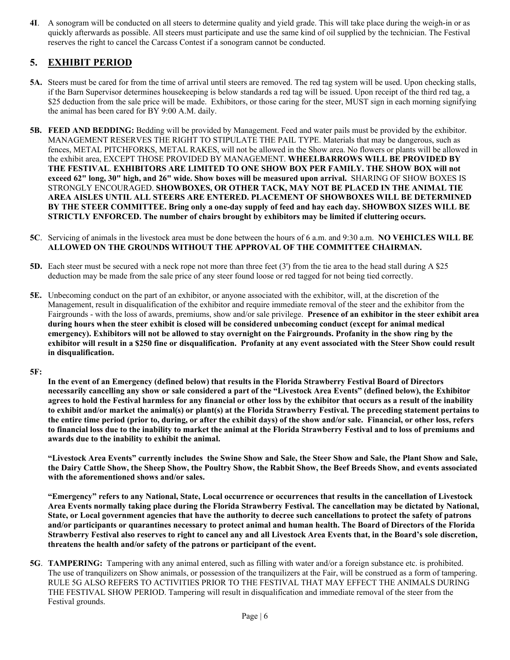**4I**. A sonogram will be conducted on all steers to determine quality and yield grade. This will take place during the weigh-in or as quickly afterwards as possible. All steers must participate and use the same kind of oil supplied by the technician. The Festival reserves the right to cancel the Carcass Contest if a sonogram cannot be conducted.

# **5. EXHIBIT PERIOD**

- **5A.** Steers must be cared for from the time of arrival until steers are removed. The red tag system will be used. Upon checking stalls, if the Barn Supervisor determines housekeeping is below standards a red tag will be issued. Upon receipt of the third red tag, a \$25 deduction from the sale price will be made. Exhibitors, or those caring for the steer, MUST sign in each morning signifying the animal has been cared for BY 9:00 A.M. daily.
- **5B. FEED AND BEDDING:** Bedding will be provided by Management. Feed and water pails must be provided by the exhibitor. MANAGEMENT RESERVES THE RIGHT TO STIPULATE THE PAIL TYPE. Materials that may be dangerous, such as fences, METAL PITCHFORKS, METAL RAKES, will not be allowed in the Show area. No flowers or plants will be allowed in the exhibit area, EXCEPT THOSE PROVIDED BY MANAGEMENT. **WHEELBARROWS WILL BE PROVIDED BY THE FESTIVAL**. **EXHIBITORS ARE LIMITED TO ONE SHOW BOX PER FAMILY. THE SHOW BOX will not exceed 62" long, 30" high, and 26" wide. Show boxes will be measured upon arrival.** SHARING OF SHOW BOXES IS STRONGLY ENCOURAGED. **SHOWBOXES, OR OTHER TACK, MAY NOT BE PLACED IN THE ANIMAL TIE AREA AISLES UNTIL ALL STEERS ARE ENTERED. PLACEMENT OF SHOWBOXES WILL BE DETERMINED BY THE STEER COMMITTEE. Bring only a one-day supply of feed and hay each day. SHOWBOX SIZES WILL BE STRICTLY ENFORCED. The number of chairs brought by exhibitors may be limited if cluttering occurs.**
- **5C**. Servicing of animals in the livestock area must be done between the hours of 6 a.m. and 9:30 a.m. **NO VEHICLES WILL BE ALLOWED ON THE GROUNDS WITHOUT THE APPROVAL OF THE COMMITTEE CHAIRMAN.**
- **5D.** Each steer must be secured with a neck rope not more than three feet (3') from the tie area to the head stall during A \$25 deduction may be made from the sale price of any steer found loose or red tagged for not being tied correctly.
- **5E.** Unbecoming conduct on the part of an exhibitor, or anyone associated with the exhibitor, will, at the discretion of the Management, result in disqualification of the exhibitor and require immediate removal of the steer and the exhibitor from the Fairgrounds - with the loss of awards, premiums, show and/or sale privilege. **Presence of an exhibitor in the steer exhibit area during hours when the steer exhibit is closed will be considered unbecoming conduct (except for animal medical emergency). Exhibitors will not be allowed to stay overnight on the Fairgrounds. Profanity in the show ring by the exhibitor will result in a \$250 fine or disqualification. Profanity at any event associated with the Steer Show could result in disqualification.**

#### **5F:**

**In the event of an Emergency (defined below) that results in the Florida Strawberry Festival Board of Directors necessarily cancelling any show or sale considered a part of the "Livestock Area Events" (defined below), the Exhibitor agrees to hold the Festival harmless for any financial or other loss by the exhibitor that occurs as a result of the inability to exhibit and/or market the animal(s) or plant(s) at the Florida Strawberry Festival. The preceding statement pertains to the entire time period (prior to, during, or after the exhibit days) of the show and/or sale. Financial, or other loss, refers to financial loss due to the inability to market the animal at the Florida Strawberry Festival and to loss of premiums and awards due to the inability to exhibit the animal.** 

**"Livestock Area Events" currently includes the Swine Show and Sale, the Steer Show and Sale, the Plant Show and Sale, the Dairy Cattle Show, the Sheep Show, the Poultry Show, the Rabbit Show, the Beef Breeds Show, and events associated with the aforementioned shows and/or sales.** 

**"Emergency" refers to any National, State, Local occurrence or occurrences that results in the cancellation of Livestock Area Events normally taking place during the Florida Strawberry Festival. The cancellation may be dictated by National, State, or Local government agencies that have the authority to decree such cancellations to protect the safety of patrons and/or participants or quarantines necessary to protect animal and human health. The Board of Directors of the Florida Strawberry Festival also reserves to right to cancel any and all Livestock Area Events that, in the Board's sole discretion, threatens the health and/or safety of the patrons or participant of the event.**

**5G**. **TAMPERING:** Tampering with any animal entered, such as filling with water and/or a foreign substance etc. is prohibited. The use of tranquilizers on Show animals, or possession of the tranquilizers at the Fair, will be construed as a form of tampering. RULE 5G ALSO REFERS TO ACTIVITIES PRIOR TO THE FESTIVAL THAT MAY EFFECT THE ANIMALS DURING THE FESTIVAL SHOW PERIOD. Tampering will result in disqualification and immediate removal of the steer from the Festival grounds.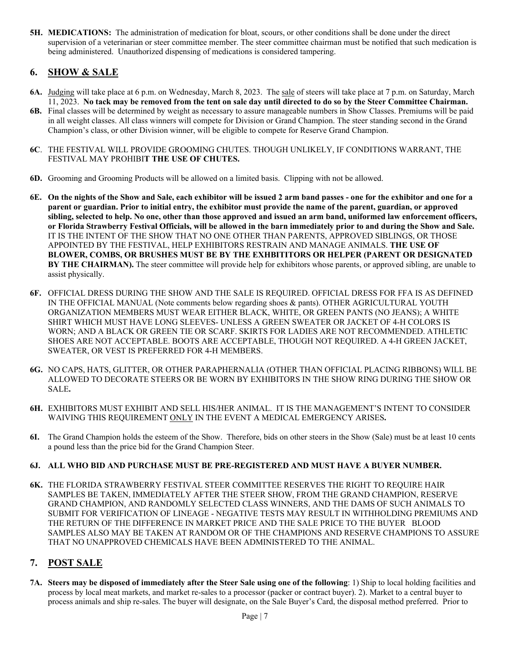**5H. MEDICATIONS:** The administration of medication for bloat, scours, or other conditions shall be done under the direct supervision of a veterinarian or steer committee member. The steer committee chairman must be notified that such medication is being administered. Unauthorized dispensing of medications is considered tampering.

# **6. SHOW & SALE**

- **6A.** Judging will take place at 6 p.m. on Wednesday, March 8, 2023. The sale of steers will take place at 7 p.m. on Saturday, March 11, 2023. **No tack may be removed from the tent on sale day until directed to do so by the Steer Committee Chairman.**
- **6B.** Final classes will be determined by weight as necessary to assure manageable numbers in Show Classes. Premiums will be paid in all weight classes. All class winners will compete for Division or Grand Champion. The steer standing second in the Grand Champion's class, or other Division winner, will be eligible to compete for Reserve Grand Champion.
- **6C**. THE FESTIVAL WILL PROVIDE GROOMING CHUTES. THOUGH UNLIKELY, IF CONDITIONS WARRANT, THE FESTIVAL MAY PROHIBI**T THE USE OF CHUTES.**
- **6D.** Grooming and Grooming Products will be allowed on a limited basis. Clipping with not be allowed.
- **6E. On the nights of the Show and Sale, each exhibitor will be issued 2 arm band passes one for the exhibitor and one for a parent or guardian. Prior to initial entry, the exhibitor must provide the name of the parent, guardian, or approved sibling, selected to help. No one, other than those approved and issued an arm band, uniformed law enforcement officers, or Florida Strawberry Festival Officials, will be allowed in the barn immediately prior to and during the Show and Sale.**  IT IS THE INTENT OF THE SHOW THAT NO ONE OTHER THAN PARENTS, APPROVED SIBLINGS, OR THOSE APPOINTED BY THE FESTIVAL, HELP EXHIBITORS RESTRAIN AND MANAGE ANIMALS. **THE USE OF BLOWER, COMBS, OR BRUSHES MUST BE BY THE EXHBITITORS OR HELPER (PARENT OR DESIGNATED BY THE CHAIRMAN).** The steer committee will provide help for exhibitors whose parents, or approved sibling, are unable to assist physically.
- **6F.** OFFICIAL DRESS DURING THE SHOW AND THE SALE IS REQUIRED. OFFICIAL DRESS FOR FFA IS AS DEFINED IN THE OFFICIAL MANUAL (Note comments below regarding shoes & pants). OTHER AGRICULTURAL YOUTH ORGANIZATION MEMBERS MUST WEAR EITHER BLACK, WHITE, OR GREEN PANTS (NO JEANS); A WHITE SHIRT WHICH MUST HAVE LONG SLEEVES- UNLESS A GREEN SWEATER OR JACKET OF 4-H COLORS IS WORN; AND A BLACK OR GREEN TIE OR SCARF. SKIRTS FOR LADIES ARE NOT RECOMMENDED. ATHLETIC SHOES ARE NOT ACCEPTABLE. BOOTS ARE ACCEPTABLE, THOUGH NOT REQUIRED. A 4-H GREEN JACKET, SWEATER, OR VEST IS PREFERRED FOR 4-H MEMBERS.
- **6G.** NO CAPS, HATS, GLITTER, OR OTHER PARAPHERNALIA (OTHER THAN OFFICIAL PLACING RIBBONS) WILL BE ALLOWED TO DECORATE STEERS OR BE WORN BY EXHIBITORS IN THE SHOW RING DURING THE SHOW OR SALE**.**
- **6H.** EXHIBITORS MUST EXHIBIT AND SELL HIS/HER ANIMAL. IT IS THE MANAGEMENT'S INTENT TO CONSIDER WAIVING THIS REQUIREMENT ONLY IN THE EVENT A MEDICAL EMERGENCY ARISES**.**
- **6I.** The Grand Champion holds the esteem of the Show. Therefore, bids on other steers in the Show (Sale) must be at least 10 cents a pound less than the price bid for the Grand Champion Steer.

#### **6J. ALL WHO BID AND PURCHASE MUST BE PRE-REGISTERED AND MUST HAVE A BUYER NUMBER.**

**6K.** THE FLORIDA STRAWBERRY FESTIVAL STEER COMMITTEE RESERVES THE RIGHT TO REQUIRE HAIR SAMPLES BE TAKEN, IMMEDIATELY AFTER THE STEER SHOW, FROM THE GRAND CHAMPION, RESERVE GRAND CHAMPION, AND RANDOMLY SELECTED CLASS WINNERS, AND THE DAMS OF SUCH ANIMALS TO SUBMIT FOR VERIFICATION OF LINEAGE - NEGATIVE TESTS MAY RESULT IN WITHHOLDING PREMIUMS AND THE RETURN OF THE DIFFERENCE IN MARKET PRICE AND THE SALE PRICE TO THE BUYER BLOOD SAMPLES ALSO MAY BE TAKEN AT RANDOM OR OF THE CHAMPIONS AND RESERVE CHAMPIONS TO ASSURE THAT NO UNAPPROVED CHEMICALS HAVE BEEN ADMINISTERED TO THE ANIMAL.

## **7. POST SALE**

**7A. Steers may be disposed of immediately after the Steer Sale using one of the following**: 1) Ship to local holding facilities and process by local meat markets, and market re-sales to a processor (packer or contract buyer). 2). Market to a central buyer to process animals and ship re-sales. The buyer will designate, on the Sale Buyer's Card, the disposal method preferred. Prior to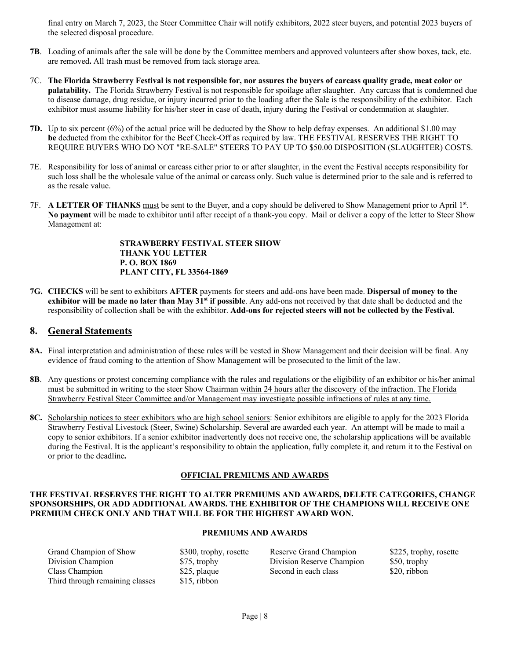final entry on March 7, 2023, the Steer Committee Chair will notify exhibitors, 2022 steer buyers, and potential 2023 buyers of the selected disposal procedure.

- **7B**. Loading of animals after the sale will be done by the Committee members and approved volunteers after show boxes, tack, etc. are removed**.** All trash must be removed from tack storage area.
- 7C. **The Florida Strawberry Festival is not responsible for, nor assures the buyers of carcass quality grade, meat color or palatability.** The Florida Strawberry Festival is not responsible for spoilage after slaughter. Any carcass that is condemned due to disease damage, drug residue, or injury incurred prior to the loading after the Sale is the responsibility of the exhibitor. Each exhibitor must assume liability for his/her steer in case of death, injury during the Festival or condemnation at slaughter.
- **7D.** Up to six percent (6%) of the actual price will be deducted by the Show to help defray expenses. An additional \$1.00 may  **be** deducted from the exhibitor for the Beef Check-Off as required by law. THE FESTIVAL RESERVES THE RIGHT TO REQUIRE BUYERS WHO DO NOT "RE-SALE" STEERS TO PAY UP TO \$50.00 DISPOSITION (SLAUGHTER) COSTS.
- 7E. Responsibility for loss of animal or carcass either prior to or after slaughter, in the event the Festival accepts responsibility for such loss shall be the wholesale value of the animal or carcass only. Such value is determined prior to the sale and is referred to as the resale value.
- 7F. **A LETTER OF THANKS** must be sent to the Buyer, and a copy should be delivered to Show Management prior to April 1st. **No payment** will be made to exhibitor until after receipt of a thank-you copy. Mail or deliver a copy of the letter to Steer Show Management at:

#### **STRAWBERRY FESTIVAL STEER SHOW THANK YOU LETTER P. O. BOX 1869 PLANT CITY, FL 33564-1869**

**7G. CHECKS** will be sent to exhibitors **AFTER** payments for steers and add-ons have been made. **Dispersal of money to the exhibitor will be made no later than May 31<sup>st</sup> if possible**. Any add-ons not received by that date shall be deducted and the responsibility of collection shall be with the exhibitor. **Add-ons for rejected steers will not be collected by the Festival**.

#### **8. General Statements**

- **8A.** Final interpretation and administration of these rules will be vested in Show Management and their decision will be final. Any evidence of fraud coming to the attention of Show Management will be prosecuted to the limit of the law.
- **8B**. Any questions or protest concerning compliance with the rules and regulations or the eligibility of an exhibitor or his/her animal must be submitted in writing to the steer Show Chairman within 24 hours after the discovery of the infraction. The Florida Strawberry Festival Steer Committee and/or Management may investigate possible infractions of rules at any time.
- **8C.** Scholarship notices to steer exhibitors who are high school seniors: Senior exhibitors are eligible to apply for the 2023 Florida Strawberry Festival Livestock (Steer, Swine) Scholarship. Several are awarded each year. An attempt will be made to mail a copy to senior exhibitors. If a senior exhibitor inadvertently does not receive one, the scholarship applications will be available during the Festival. It is the applicant's responsibility to obtain the application, fully complete it, and return it to the Festival on or prior to the deadline**.**

#### **OFFICIAL PREMIUMS AND AWARDS**

#### **THE FESTIVAL RESERVES THE RIGHT TO ALTER PREMIUMS AND AWARDS, DELETE CATEGORIES, CHANGE SPONSORSHIPS, OR ADD ADDITIONAL AWARDS. THE EXHIBITOR OF THE CHAMPIONS WILL RECEIVE ONE PREMIUM CHECK ONLY AND THAT WILL BE FOR THE HIGHEST AWARD WON.**

#### **PREMIUMS AND AWARDS**

Grand Champion of Show \$300, trophy, rosette Reserve Grand Champion \$225, trophy, rosette Division Champion \$75, trophy Division Reserve Champion \$50, trophy Class Champion \$25, plaque Second in each class \$20, ribbon Third through remaining classes \$15, ribbon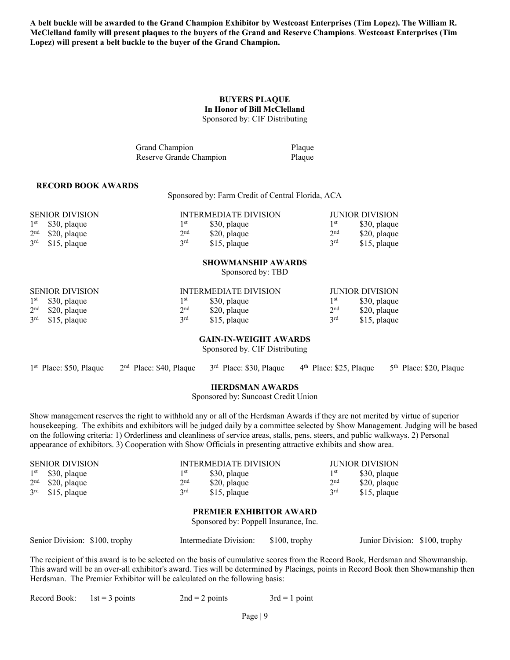**A belt buckle will be awarded to the Grand Champion Exhibitor by Westcoast Enterprises (Tim Lopez). The William R. McClelland family will present plaques to the buyers of the Grand and Reserve Champions**. **Westcoast Enterprises (Tim Lopez) will present a belt buckle to the buyer of the Grand Champion.** 

#### **BUYERS PLAQUE In Honor of Bill McClelland**  Sponsored by: CIF Distributing

Grand Champion Plaque Reserve Grande Champion Plaque

#### **RECORD BOOK AWARDS**

Sponsored by: Farm Credit of Central Florida, ACA

| <b>SENIOR DIVISION</b> |                 | INTERMEDIATE DIVISION |                 | JUNIOR DIVISION |
|------------------------|-----------------|-----------------------|-----------------|-----------------|
| $1st$ \$30, plaque     | 1st             | \$30, plaque          | 1 <sup>st</sup> | \$30, plaque    |
| $2nd$ \$20, plaque     | 2 <sup>nd</sup> | \$20, plaque          | 2 <sup>nd</sup> | \$20, plaque    |
| $3rd$ \$15, plaque     | 2rd             | \$15, plaque          | 2rd             | \$15, plaque    |

# **SHOWMANSHIP AWARDS**

Sponsored by: TBD

| <b>SENIOR DIVISION</b> |                 | INTERMEDIATE DIVISION |                 | JUNIOR DIVISION |
|------------------------|-----------------|-----------------------|-----------------|-----------------|
| $1st$ \$30, plaque     | 1 <sup>st</sup> | \$30, plaque          | 1 <sup>st</sup> | \$30, plaque    |
| $2nd$ \$20, plaque     | 2 <sup>nd</sup> | \$20, plane           | 2 <sup>nd</sup> | \$20, plaque    |
| $3rd$ \$15, plaque     | 2rd             | \$15, plaque          | 2rd             | \$15, plaque    |

#### **GAIN-IN-WEIGHT AWARDS**

Sponsored by. CIF Distributing

|  | 1st Place: \$50, Plaque 2 <sup>nd</sup> Place: \$40, Plaque 3 <sup>rd</sup> Place: \$30, Plaque 4 <sup>th</sup> Place: \$25, Plaque 5 <sup>th</sup> Place: \$20, Plaque |  |  |  |
|--|-------------------------------------------------------------------------------------------------------------------------------------------------------------------------|--|--|--|
|--|-------------------------------------------------------------------------------------------------------------------------------------------------------------------------|--|--|--|

#### **HERDSMAN AWARDS**

Sponsored by: Suncoast Credit Union

Show management reserves the right to withhold any or all of the Herdsman Awards if they are not merited by virtue of superior housekeeping. The exhibits and exhibitors will be judged daily by a committee selected by Show Management. Judging will be based on the following criteria: 1) Orderliness and cleanliness of service areas, stalls, pens, steers, and public walkways. 2) Personal appearance of exhibitors. 3) Cooperation with Show Officials in presenting attractive exhibits and show area.

|                                       | <b>SENIOR DIVISION</b>         |                 | <b>INTERMEDIATE DIVISION</b> |                 | <b>JUNIOR DIVISION</b> |  |  |
|---------------------------------------|--------------------------------|-----------------|------------------------------|-----------------|------------------------|--|--|
| $1^{\rm st}$                          | \$30, plaque                   | 1 st            | \$30, plaque                 | 1 st            | \$30, plaque           |  |  |
|                                       | $2nd$ \$20, plaque             | 2 <sup>nd</sup> | \$20, plaque                 | 2 <sup>nd</sup> | \$20, plaque           |  |  |
|                                       | $3rd$ \$15, plaque             | 2rd             | \$15, plaque                 | 3 <sup>rd</sup> | \$15, plaque           |  |  |
|                                       | <b>PREMIER EXHIBITOR AWARD</b> |                 |                              |                 |                        |  |  |
| Sponsored by: Poppell Insurance, Inc. |                                |                 |                              |                 |                        |  |  |

Senior Division: \$100, trophy Intermediate Division: \$100, trophy Junior Division: \$100, trophy

The recipient of this award is to be selected on the basis of cumulative scores from the Record Book, Herdsman and Showmanship. This award will be an over-all exhibitor's award. Ties will be determined by Placings, points in Record Book then Showmanship then Herdsman. The Premier Exhibitor will be calculated on the following basis:

| Record Book: $1st = 3$ points | $2nd = 2$ points | $3rd = 1$ point |
|-------------------------------|------------------|-----------------|
|                               |                  |                 |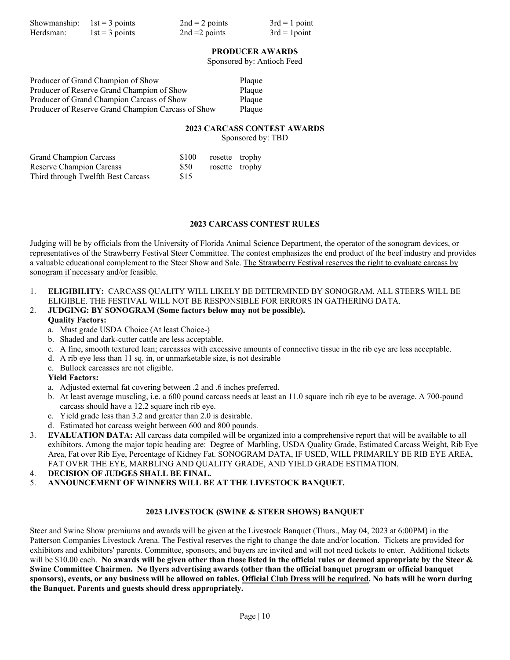| Showmanship: $1st = 3$ points |                  | $2nd = 2 points$ | $3rd = 1$ point |
|-------------------------------|------------------|------------------|-----------------|
| Herdsman:                     | $1st = 3$ points | $2nd = 2 points$ | $3rd = 1$ point |

#### **PRODUCER AWARDS**

Sponsored by: Antioch Feed

| Producer of Grand Champion of Show                 | Plaque |
|----------------------------------------------------|--------|
| Producer of Reserve Grand Champion of Show         | Plaque |
| Producer of Grand Champion Carcass of Show         | Plaque |
| Producer of Reserve Grand Champion Carcass of Show | Plaque |

### **2023 CARCASS CONTEST AWARDS**

Sponsored by: TBD

| <b>Grand Champion Carcass</b>      | \$100      | rosette trophy |  |
|------------------------------------|------------|----------------|--|
| Reserve Champion Carcass           | <b>S50</b> | rosette trophy |  |
| Third through Twelfth Best Carcass | \$15       |                |  |

#### **2023 CARCASS CONTEST RULES**

Judging will be by officials from the University of Florida Animal Science Department, the operator of the sonogram devices, or representatives of the Strawberry Festival Steer Committee. The contest emphasizes the end product of the beef industry and provides a valuable educational complement to the Steer Show and Sale. The Strawberry Festival reserves the right to evaluate carcass by sonogram if necessary and/or feasible.

1. **ELIGIBILITY:** CARCASS QUALITY WILL LIKELY BE DETERMINED BY SONOGRAM, ALL STEERS WILL BE ELIGIBLE. THE FESTIVAL WILL NOT BE RESPONSIBLE FOR ERRORS IN GATHERING DATA.

#### 2. **JUDGING: BY SONOGRAM (Some factors below may not be possible). Quality Factors:**

- a. Must grade USDA Choice (At least Choice-)
- b. Shaded and dark-cutter cattle are less acceptable.
- c. A fine, smooth textured lean; carcasses with excessive amounts of connective tissue in the rib eye are less acceptable.
- d. A rib eye less than 11 sq. in, or unmarketable size, is not desirable
- e. Bullock carcasses are not eligible.

#### **Yield Factors:**

- a. Adjusted external fat covering between .2 and .6 inches preferred.
- b. At least average muscling, i.e. a 600 pound carcass needs at least an 11.0 square inch rib eye to be average. A 700-pound carcass should have a 12.2 square inch rib eye.
- c. Yield grade less than 3.2 and greater than 2.0 is desirable.
- d. Estimated hot carcass weight between 600 and 800 pounds.
- 3. **EVALUATION DATA:** All carcass data compiled will be organized into a comprehensive report that will be available to all exhibitors. Among the major topic heading are: Degree of Marbling, USDA Quality Grade, Estimated Carcass Weight, Rib Eye Area, Fat over Rib Eye, Percentage of Kidney Fat. SONOGRAM DATA, IF USED, WILL PRIMARILY BE RIB EYE AREA, FAT OVER THE EYE, MARBLING AND QUALITY GRADE, AND YIELD GRADE ESTIMATION.
- 4. **DECISION OF JUDGES SHALL BE FINAL.**
- 5. **ANNOUNCEMENT OF WINNERS WILL BE AT THE LIVESTOCK BANQUET.**

#### **2023 LIVESTOCK (SWINE & STEER SHOWS) BANQUET**

Steer and Swine Show premiums and awards will be given at the Livestock Banquet (Thurs., May 04, 2023 at 6:00PM) in the Patterson Companies Livestock Arena. The Festival reserves the right to change the date and/or location. Tickets are provided for exhibitors and exhibitors' parents. Committee, sponsors, and buyers are invited and will not need tickets to enter. Additional tickets will be \$10.00 each. **No awards will be given other than those listed in the official rules or deemed appropriate by the Steer & Swine Committee Chairmen. No flyers advertising awards (other than the official banquet program or official banquet sponsors), events, or any business will be allowed on tables. Official Club Dress will be required. No hats will be worn during the Banquet. Parents and guests should dress appropriately.**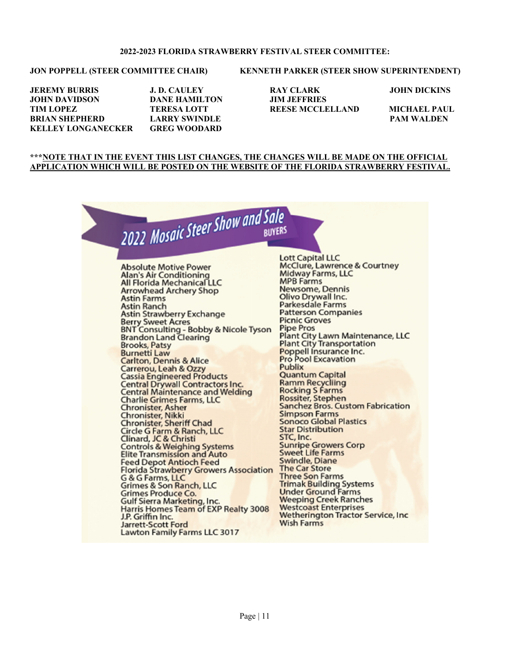#### **2022-2023 FLORIDA STRAWBERRY FESTIVAL STEER COMMITTEE:**

#### JON POPPELL (STEER COMMITTEE CHAIR) KENNETH PARKER (STEER SHOW SUPERINTENDENT)

**JOHN DAVIDSON DANE HAMILTON JIM JEFFRIES TIM LOPEZ TERESA LOTT REESE MCCLELLAND MICHAEL PAUL BRIAN SHEPHERD LARRY SWINDLE PAM WALDEN KELLEY LONGANECKER GREG WOODARD** 

# **JEREMY BURRIS J. D. CAULEY RAY CLARK JOHN DICKINS**

#### **\*\*\*NOTE THAT IN THE EVENT THIS LIST CHANGES, THE CHANGES WILL BE MADE ON THE OFFICIAL APPLICATION WHICH WILL BE POSTED ON THE WEBSITE OF THE FLORIDA STRAWBERRY FESTIVAL.**

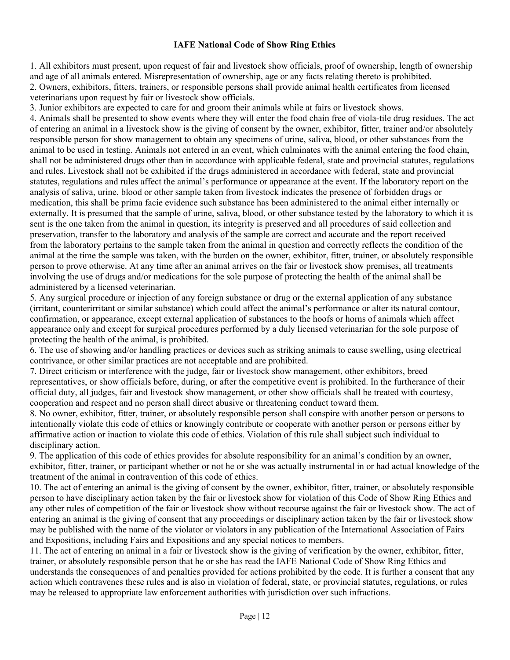#### **IAFE National Code of Show Ring Ethics**

1. All exhibitors must present, upon request of fair and livestock show officials, proof of ownership, length of ownership and age of all animals entered. Misrepresentation of ownership, age or any facts relating thereto is prohibited. 2. Owners, exhibitors, fitters, trainers, or responsible persons shall provide animal health certificates from licensed veterinarians upon request by fair or livestock show officials.

3. Junior exhibitors are expected to care for and groom their animals while at fairs or livestock shows.

4. Animals shall be presented to show events where they will enter the food chain free of viola-tile drug residues. The act of entering an animal in a livestock show is the giving of consent by the owner, exhibitor, fitter, trainer and/or absolutely responsible person for show management to obtain any specimens of urine, saliva, blood, or other substances from the animal to be used in testing. Animals not entered in an event, which culminates with the animal entering the food chain, shall not be administered drugs other than in accordance with applicable federal, state and provincial statutes, regulations and rules. Livestock shall not be exhibited if the drugs administered in accordance with federal, state and provincial statutes, regulations and rules affect the animal's performance or appearance at the event. If the laboratory report on the analysis of saliva, urine, blood or other sample taken from livestock indicates the presence of forbidden drugs or medication, this shall be prima facie evidence such substance has been administered to the animal either internally or externally. It is presumed that the sample of urine, saliva, blood, or other substance tested by the laboratory to which it is sent is the one taken from the animal in question, its integrity is preserved and all procedures of said collection and preservation, transfer to the laboratory and analysis of the sample are correct and accurate and the report received from the laboratory pertains to the sample taken from the animal in question and correctly reflects the condition of the animal at the time the sample was taken, with the burden on the owner, exhibitor, fitter, trainer, or absolutely responsible person to prove otherwise. At any time after an animal arrives on the fair or livestock show premises, all treatments involving the use of drugs and/or medications for the sole purpose of protecting the health of the animal shall be administered by a licensed veterinarian.

5. Any surgical procedure or injection of any foreign substance or drug or the external application of any substance (irritant, counterirritant or similar substance) which could affect the animal's performance or alter its natural contour, confirmation, or appearance, except external application of substances to the hoofs or horns of animals which affect appearance only and except for surgical procedures performed by a duly licensed veterinarian for the sole purpose of protecting the health of the animal, is prohibited.

6. The use of showing and/or handling practices or devices such as striking animals to cause swelling, using electrical contrivance, or other similar practices are not acceptable and are prohibited.

7. Direct criticism or interference with the judge, fair or livestock show management, other exhibitors, breed representatives, or show officials before, during, or after the competitive event is prohibited. In the furtherance of their official duty, all judges, fair and livestock show management, or other show officials shall be treated with courtesy, cooperation and respect and no person shall direct abusive or threatening conduct toward them.

8. No owner, exhibitor, fitter, trainer, or absolutely responsible person shall conspire with another person or persons to intentionally violate this code of ethics or knowingly contribute or cooperate with another person or persons either by affirmative action or inaction to violate this code of ethics. Violation of this rule shall subject such individual to disciplinary action.

9. The application of this code of ethics provides for absolute responsibility for an animal's condition by an owner, exhibitor, fitter, trainer, or participant whether or not he or she was actually instrumental in or had actual knowledge of the treatment of the animal in contravention of this code of ethics.

10. The act of entering an animal is the giving of consent by the owner, exhibitor, fitter, trainer, or absolutely responsible person to have disciplinary action taken by the fair or livestock show for violation of this Code of Show Ring Ethics and any other rules of competition of the fair or livestock show without recourse against the fair or livestock show. The act of entering an animal is the giving of consent that any proceedings or disciplinary action taken by the fair or livestock show may be published with the name of the violator or violators in any publication of the International Association of Fairs and Expositions, including Fairs and Expositions and any special notices to members.

11. The act of entering an animal in a fair or livestock show is the giving of verification by the owner, exhibitor, fitter, trainer, or absolutely responsible person that he or she has read the IAFE National Code of Show Ring Ethics and understands the consequences of and penalties provided for actions prohibited by the code. It is further a consent that any action which contravenes these rules and is also in violation of federal, state, or provincial statutes, regulations, or rules may be released to appropriate law enforcement authorities with jurisdiction over such infractions.